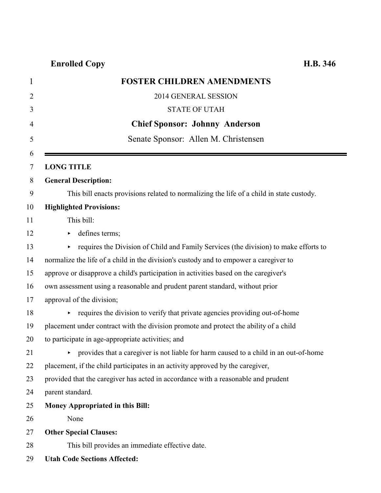## **Enrolled Copy H.B. 346**

| <b>FOSTER CHILDREN AMENDMENTS</b>                                                         |
|-------------------------------------------------------------------------------------------|
| 2014 GENERAL SESSION                                                                      |
| <b>STATE OF UTAH</b>                                                                      |
| <b>Chief Sponsor: Johnny Anderson</b>                                                     |
| Senate Sponsor: Allen M. Christensen                                                      |
| <b>LONG TITLE</b>                                                                         |
| <b>General Description:</b>                                                               |
| This bill enacts provisions related to normalizing the life of a child in state custody.  |
| <b>Highlighted Provisions:</b>                                                            |
| This bill:                                                                                |
| defines terms;                                                                            |
| requires the Division of Child and Family Services (the division) to make efforts to<br>Þ |
| normalize the life of a child in the division's custody and to empower a caregiver to     |
| approve or disapprove a child's participation in activities based on the caregiver's      |
| own assessment using a reasonable and prudent parent standard, without prior              |
| approval of the division;                                                                 |
| requires the division to verify that private agencies providing out-of-home               |
| placement under contract with the division promote and protect the ability of a child     |
| to participate in age-appropriate activities; and                                         |
| provides that a caregiver is not liable for harm caused to a child in an out-of-home      |
| placement, if the child participates in an activity approved by the caregiver,            |
| provided that the caregiver has acted in accordance with a reasonable and prudent         |
| parent standard.                                                                          |
| <b>Money Appropriated in this Bill:</b>                                                   |
| None                                                                                      |
| <b>Other Special Clauses:</b>                                                             |
| This bill provides an immediate effective date.                                           |
| <b>Utah Code Sections Affected:</b>                                                       |
|                                                                                           |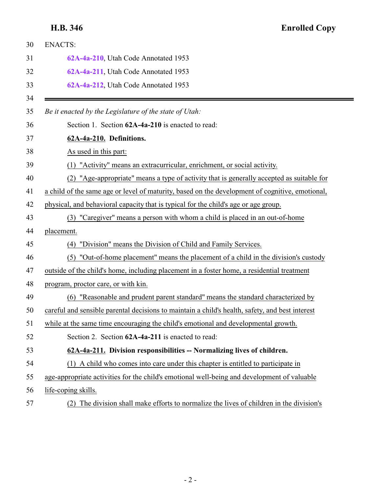### <span id="page-1-0"></span>**H.B. 346 Enrolled Copy**

<span id="page-1-1"></span>

| 30       | <b>ENACTS:</b>                                                                                  |
|----------|-------------------------------------------------------------------------------------------------|
| 31       | 62A-4a-210, Utah Code Annotated 1953                                                            |
| 32       | 62A-4a-211, Utah Code Annotated 1953                                                            |
| 33       | 62A-4a-212, Utah Code Annotated 1953                                                            |
| 34<br>35 | Be it enacted by the Legislature of the state of Utah:                                          |
| 36       | Section 1. Section 62A-4a-210 is enacted to read:                                               |
| 37       | 62A-4a-210. Definitions.                                                                        |
| 38       | As used in this part:                                                                           |
| 39       | "Activity" means an extracurricular, enrichment, or social activity.                            |
| 40       | "Age-appropriate" means a type of activity that is generally accepted as suitable for<br>(2)    |
| 41       | a child of the same age or level of maturity, based on the development of cognitive, emotional, |
| 42       | physical, and behavioral capacity that is typical for the child's age or age group.             |
| 43       | "Caregiver" means a person with whom a child is placed in an out-of-home<br>(3)                 |
| 44       | placement.                                                                                      |
| 45       | (4) "Division" means the Division of Child and Family Services.                                 |
| 46       | (5) "Out-of-home placement" means the placement of a child in the division's custody            |
| 47       | outside of the child's home, including placement in a foster home, a residential treatment      |
| 48       | program, proctor care, or with kin.                                                             |
| 49       | "Reasonable and prudent parent standard" means the standard characterized by<br>(6)             |
| 50       | careful and sensible parental decisions to maintain a child's health, safety, and best interest |
| 51       | while at the same time encouraging the child's emotional and developmental growth.              |
| 52       | Section 2. Section 62A-4a-211 is enacted to read:                                               |
| 53       | 62A-4a-211. Division responsibilities -- Normalizing lives of children.                         |
| 54       | (1) A child who comes into care under this chapter is entitled to participate in                |
| 55       | age-appropriate activities for the child's emotional well-being and development of valuable     |
| 56       | life-coping skills.                                                                             |
| 57       | The division shall make efforts to normalize the lives of children in the division's<br>(2)     |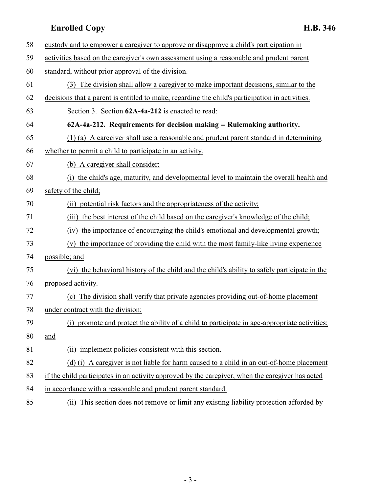### <span id="page-2-0"></span>**Enrolled Copy H.B. 346**

| 58 | custody and to empower a caregiver to approve or disapprove a child's participation in           |
|----|--------------------------------------------------------------------------------------------------|
| 59 | activities based on the caregiver's own assessment using a reasonable and prudent parent         |
| 60 | standard, without prior approval of the division.                                                |
| 61 | (3) The division shall allow a caregiver to make important decisions, similar to the             |
| 62 | decisions that a parent is entitled to make, regarding the child's participation in activities.  |
| 63 | Section 3. Section 62A-4a-212 is enacted to read:                                                |
| 64 | 62A-4a-212. Requirements for decision making -- Rulemaking authority.                            |
| 65 | (1) (a) A caregiver shall use a reasonable and prudent parent standard in determining            |
| 66 | whether to permit a child to participate in an activity.                                         |
| 67 | (b) A caregiver shall consider:                                                                  |
| 68 | (i) the child's age, maturity, and developmental level to maintain the overall health and        |
| 69 | safety of the child;                                                                             |
| 70 | (ii) potential risk factors and the appropriateness of the activity;                             |
| 71 | (iii) the best interest of the child based on the caregiver's knowledge of the child;            |
| 72 | (iv) the importance of encouraging the child's emotional and developmental growth;               |
| 73 | (v) the importance of providing the child with the most family-like living experience            |
| 74 | possible; and                                                                                    |
| 75 | (vi) the behavioral history of the child and the child's ability to safely participate in the    |
| 76 | proposed activity.                                                                               |
| 77 | (c) The division shall verify that private agencies providing out-of-home placement              |
| 78 | under contract with the division:                                                                |
| 79 | (i) promote and protect the ability of a child to participate in age-appropriate activities;     |
| 80 | and                                                                                              |
| 81 | (ii) implement policies consistent with this section.                                            |
| 82 | (d) (i) A caregiver is not liable for harm caused to a child in an out-of-home placement         |
| 83 | if the child participates in an activity approved by the caregiver, when the caregiver has acted |
| 84 | in accordance with a reasonable and prudent parent standard.                                     |
| 85 | (ii) This section does not remove or limit any existing liability protection afforded by         |